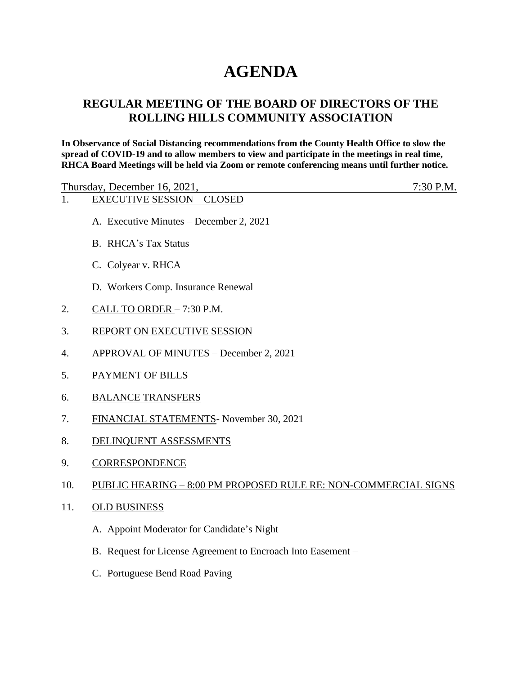# **AGENDA**

# **REGULAR MEETING OF THE BOARD OF DIRECTORS OF THE ROLLING HILLS COMMUNITY ASSOCIATION**

**In Observance of Social Distancing recommendations from the County Health Office to slow the spread of COVID-19 and to allow members to view and participate in the meetings in real time, RHCA Board Meetings will be held via Zoom or remote conferencing means until further notice.** 

| Thursday, December 16, 2021,      | $7:30$ P.M. |
|-----------------------------------|-------------|
| <b>EXECUTIVE SESSION – CLOSED</b> |             |

- A. Executive Minutes December 2, 2021
- B. RHCA's Tax Status
- C. Colyear v. RHCA
- D. Workers Comp. Insurance Renewal
- 2. CALL TO ORDER 7:30 P.M.
- 3. REPORT ON EXECUTIVE SESSION
- 4. APPROVAL OF MINUTES December 2, 2021
- 5. PAYMENT OF BILLS
- 6. BALANCE TRANSFERS
- 7. FINANCIAL STATEMENTS- November 30, 2021
- 8. DELINQUENT ASSESSMENTS
- 9. CORRESPONDENCE

## 10. PUBLIC HEARING – 8:00 PM PROPOSED RULE RE: NON-COMMERCIAL SIGNS

- 11. OLD BUSINESS
	- A. Appoint Moderator for Candidate's Night
	- B. Request for License Agreement to Encroach Into Easement –
	- C. Portuguese Bend Road Paving